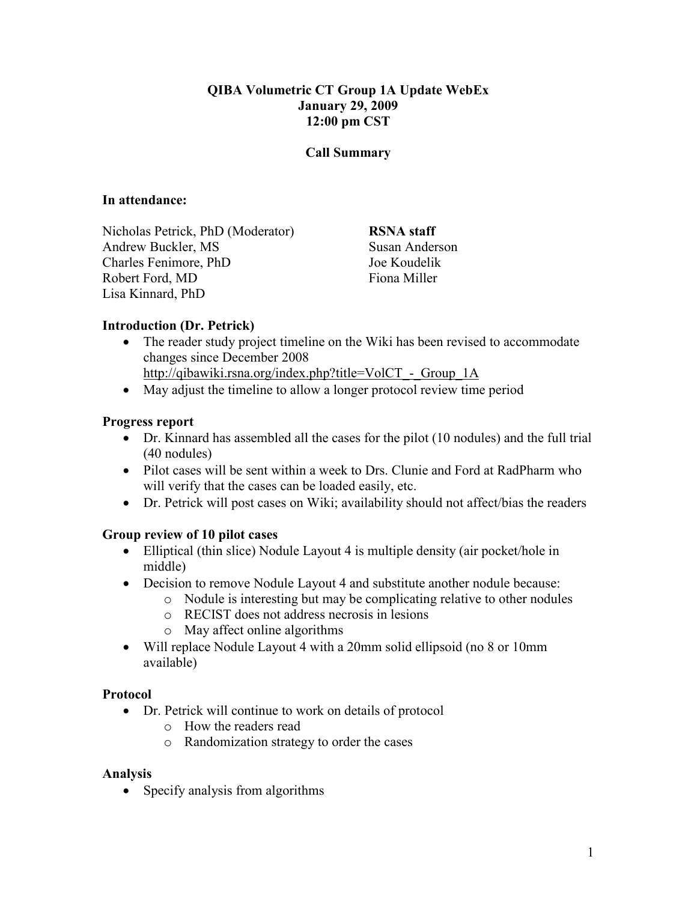### QIBA Volumetric CT Group 1A Update WebEx January 29, 2009 12:00 pm CST

#### Call Summary

#### In attendance:

Nicholas Petrick, PhD (Moderator) Andrew Buckler, MS Charles Fenimore, PhD Robert Ford, MD Lisa Kinnard, PhD

RSNA staff Susan Anderson Joe Koudelik Fiona Miller

### Introduction (Dr. Petrick)

- The reader study project timeline on the Wiki has been revised to accommodate changes since December 2008
	- http://qibawiki.rsna.org/index.php?title=VolCT Group\_1A
- May adjust the timeline to allow a longer protocol review time period

#### Progress report

- Dr. Kinnard has assembled all the cases for the pilot (10 nodules) and the full trial (40 nodules)
- Pilot cases will be sent within a week to Drs. Clunie and Ford at RadPharm who will verify that the cases can be loaded easily, etc.
- Dr. Petrick will post cases on Wiki; availability should not affect/bias the readers

### Group review of 10 pilot cases

- Elliptical (thin slice) Nodule Layout 4 is multiple density (air pocket/hole in middle)
- Decision to remove Nodule Layout 4 and substitute another nodule because:
	- o Nodule is interesting but may be complicating relative to other nodules
	- o RECIST does not address necrosis in lesions
	- o May affect online algorithms
- Will replace Nodule Layout 4 with a 20mm solid ellipsoid (no 8 or 10mm) available)

#### Protocol

- Dr. Petrick will continue to work on details of protocol
	- o How the readers read
	- o Randomization strategy to order the cases

#### Analysis

• Specify analysis from algorithms